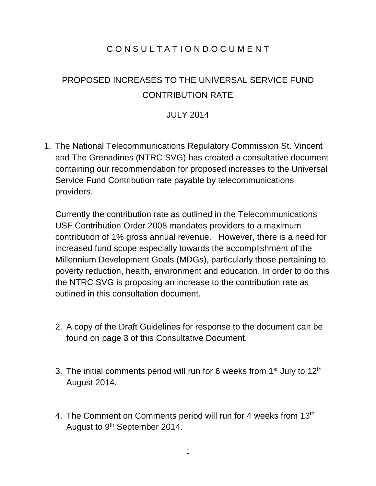# C O N S U L T A T I O N D O C U M E N T

# PROPOSED INCREASES TO THE UNIVERSAL SERVICE FUND CONTRIBUTION RATE

## JULY 2014

1. The National Telecommunications Regulatory Commission St. Vincent and The Grenadines (NTRC SVG) has created a consultative document containing our recommendation for proposed increases to the Universal Service Fund Contribution rate payable by telecommunications providers.

Currently the contribution rate as outlined in the Telecommunications USF Contribution Order 2008 mandates providers to a maximum contribution of 1% gross annual revenue. However, there is a need for increased fund scope especially towards the accomplishment of the Millennium Development Goals (MDGs), particularly those pertaining to poverty reduction, health, environment and education. In order to do this the NTRC SVG is proposing an increase to the contribution rate as outlined in this consultation document.

- 2. A copy of the Draft Guidelines for response to the document can be found on page 3 of this Consultative Document.
- 3. The initial comments period will run for 6 weeks from 1<sup>st</sup> July to 12<sup>th</sup> August 2014.
- 4. The Comment on Comments period will run for 4 weeks from 13<sup>th</sup> August to 9<sup>th</sup> September 2014.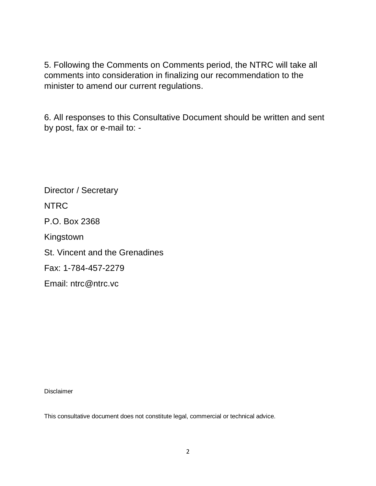5. Following the Comments on Comments period, the NTRC will take all comments into consideration in finalizing our recommendation to the minister to amend our current regulations.

6. All responses to this Consultative Document should be written and sent by post, fax or e-mail to: -

Director / Secretary NTRC P.O. Box 2368 Kingstown St. Vincent and the Grenadines Fax: 1-784-457-2279 Email: ntrc@ntrc.vc

Disclaimer

This consultative document does not constitute legal, commercial or technical advice.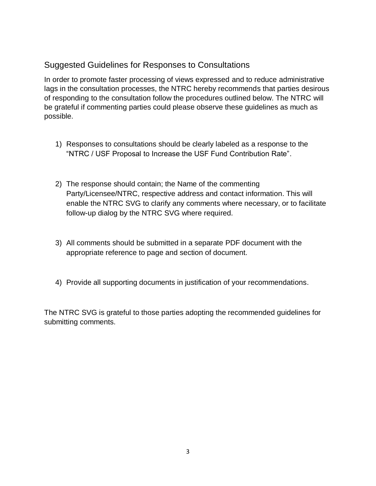# Suggested Guidelines for Responses to Consultations

In order to promote faster processing of views expressed and to reduce administrative lags in the consultation processes, the NTRC hereby recommends that parties desirous of responding to the consultation follow the procedures outlined below. The NTRC will be grateful if commenting parties could please observe these guidelines as much as possible.

- 1) Responses to consultations should be clearly labeled as a response to the "NTRC / USF Proposal to Increase the USF Fund Contribution Rate".
- 2) The response should contain; the Name of the commenting Party/Licensee/NTRC, respective address and contact information. This will enable the NTRC SVG to clarify any comments where necessary, or to facilitate follow-up dialog by the NTRC SVG where required.
- 3) All comments should be submitted in a separate PDF document with the appropriate reference to page and section of document.
- 4) Provide all supporting documents in justification of your recommendations.

The NTRC SVG is grateful to those parties adopting the recommended guidelines for submitting comments.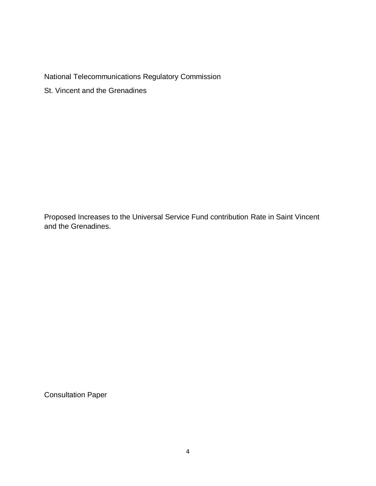National Telecommunications Regulatory Commission

St. Vincent and the Grenadines

Proposed Increases to the Universal Service Fund contribution Rate in Saint Vincent and the Grenadines.

Consultation Paper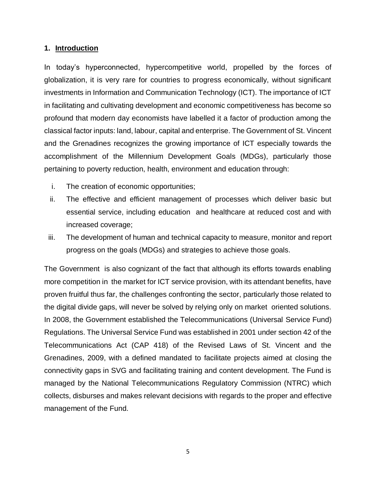#### **1. Introduction**

In today's hyperconnected, hypercompetitive world, propelled by the forces of globalization, it is very rare for countries to progress economically, without significant investments in Information and Communication Technology (ICT). The importance of ICT in facilitating and cultivating development and economic competitiveness has become so profound that modern day economists have labelled it a factor of production among the classical factor inputs: land, labour, capital and enterprise. The Government of St. Vincent and the Grenadines recognizes the growing importance of ICT especially towards the accomplishment of the Millennium Development Goals (MDGs), particularly those pertaining to poverty reduction, health, environment and education through:

- i. The creation of economic opportunities;
- ii. The effective and efficient management of processes which deliver basic but essential service, including education and healthcare at reduced cost and with increased coverage;
- iii. The development of human and technical capacity to measure, monitor and report progress on the goals (MDGs) and strategies to achieve those goals.

The Government is also cognizant of the fact that although its efforts towards enabling more competition in the market for ICT service provision, with its attendant benefits, have proven fruitful thus far, the challenges confronting the sector, particularly those related to the digital divide gaps, will never be solved by relying only on market oriented solutions. In 2008, the Government established the Telecommunications (Universal Service Fund) Regulations. The Universal Service Fund was established in 2001 under section 42 of the Telecommunications Act (CAP 418) of the Revised Laws of St. Vincent and the Grenadines, 2009, with a defined mandated to facilitate projects aimed at closing the connectivity gaps in SVG and facilitating training and content development. The Fund is managed by the National Telecommunications Regulatory Commission (NTRC) which collects, disburses and makes relevant decisions with regards to the proper and effective management of the Fund.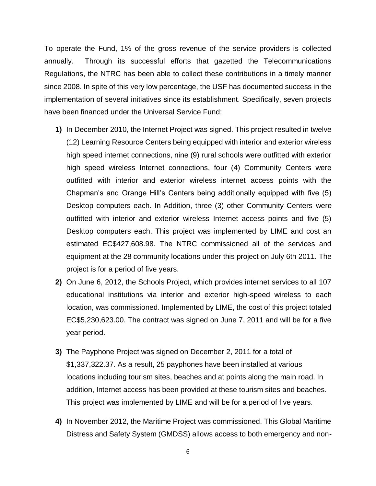To operate the Fund, 1% of the gross revenue of the service providers is collected annually. Through its successful efforts that gazetted the Telecommunications Regulations, the NTRC has been able to collect these contributions in a timely manner since 2008. In spite of this very low percentage, the USF has documented success in the implementation of several initiatives since its establishment. Specifically, seven projects have been financed under the Universal Service Fund:

- **1)** In December 2010, the Internet Project was signed. This project resulted in twelve (12) Learning Resource Centers being equipped with interior and exterior wireless high speed internet connections, nine (9) rural schools were outfitted with exterior high speed wireless Internet connections, four (4) Community Centers were outfitted with interior and exterior wireless internet access points with the Chapman's and Orange Hill's Centers being additionally equipped with five (5) Desktop computers each. In Addition, three (3) other Community Centers were outfitted with interior and exterior wireless Internet access points and five (5) Desktop computers each. This project was implemented by LIME and cost an estimated EC\$427,608.98. The NTRC commissioned all of the services and equipment at the 28 community locations under this project on July 6th 2011. The project is for a period of five years.
- **2)** On June 6, 2012, the Schools Project, which provides internet services to all 107 educational institutions via interior and exterior high-speed wireless to each location, was commissioned. Implemented by LIME, the cost of this project totaled EC\$5,230,623.00. The contract was signed on June 7, 2011 and will be for a five year period.
- **3)** The Payphone Project was signed on December 2, 2011 for a total of \$1,337,322.37. As a result, 25 payphones have been installed at various locations including tourism sites, beaches and at points along the main road. In addition, Internet access has been provided at these tourism sites and beaches. This project was implemented by LIME and will be for a period of five years.
- **4)** In November 2012, the Maritime Project was commissioned. This Global Maritime Distress and Safety System (GMDSS) allows access to both emergency and non-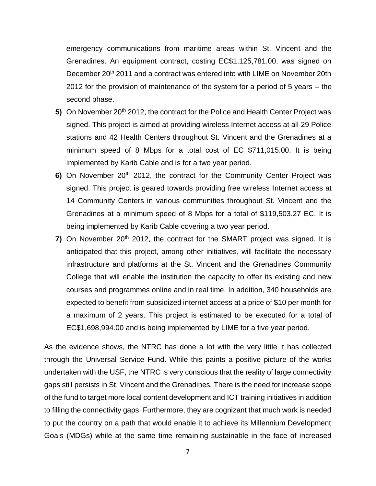emergency communications from maritime areas within St. Vincent and the Grenadines. An equipment contract, costing EC\$1,125,781.00, was signed on December 20<sup>th</sup> 2011 and a contract was entered into with LIME on November 20th 2012 for the provision of maintenance of the system for a period of 5 years – the second phase.

- **5)** On November 20<sup>th</sup> 2012, the contract for the Police and Health Center Project was signed. This project is aimed at providing wireless Internet access at all 29 Police stations and 42 Health Centers throughout St. Vincent and the Grenadines at a minimum speed of 8 Mbps for a total cost of EC \$711,015.00. It is being implemented by Karib Cable and is for a two year period.
- 6) On November 20<sup>th</sup> 2012, the contract for the Community Center Project was signed. This project is geared towards providing free wireless Internet access at 14 Community Centers in various communities throughout St. Vincent and the Grenadines at a minimum speed of 8 Mbps for a total of \$119,503.27 EC. It is being implemented by Karib Cable covering a two year period.
- **7)** On November 20<sup>th</sup> 2012, the contract for the SMART project was signed. It is anticipated that this project, among other initiatives, will facilitate the necessary infrastructure and platforms at the St. Vincent and the Grenadines Community College that will enable the institution the capacity to offer its existing and new courses and programmes online and in real time. In addition, 340 households are expected to benefit from subsidized internet access at a price of \$10 per month for a maximum of 2 years. This project is estimated to be executed for a total of EC\$1,698,994.00 and is being implemented by LIME for a five year period.

As the evidence shows, the NTRC has done a lot with the very little it has collected through the Universal Service Fund. While this paints a positive picture of the works undertaken with the USF, the NTRC is very conscious that the reality of large connectivity gaps still persists in St. Vincent and the Grenadines. There is the need for increase scope of the fund to target more local content development and ICT training initiatives in addition to filling the connectivity gaps. Furthermore, they are cognizant that much work is needed to put the country on a path that would enable it to achieve its Millennium Development Goals (MDGs) while at the same time remaining sustainable in the face of increased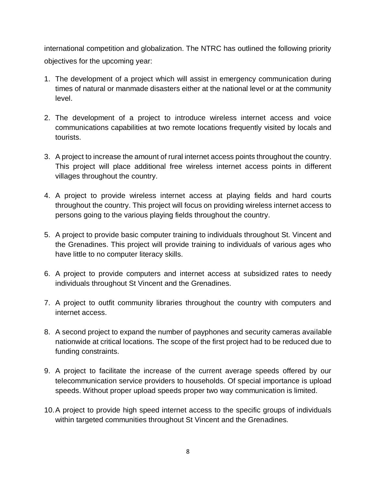international competition and globalization. The NTRC has outlined the following priority objectives for the upcoming year:

- 1. The development of a project which will assist in emergency communication during times of natural or manmade disasters either at the national level or at the community level.
- 2. The development of a project to introduce wireless internet access and voice communications capabilities at two remote locations frequently visited by locals and tourists.
- 3. A project to increase the amount of rural internet access points throughout the country. This project will place additional free wireless internet access points in different villages throughout the country.
- 4. A project to provide wireless internet access at playing fields and hard courts throughout the country. This project will focus on providing wireless internet access to persons going to the various playing fields throughout the country.
- 5. A project to provide basic computer training to individuals throughout St. Vincent and the Grenadines. This project will provide training to individuals of various ages who have little to no computer literacy skills.
- 6. A project to provide computers and internet access at subsidized rates to needy individuals throughout St Vincent and the Grenadines.
- 7. A project to outfit community libraries throughout the country with computers and internet access.
- 8. A second project to expand the number of payphones and security cameras available nationwide at critical locations. The scope of the first project had to be reduced due to funding constraints.
- 9. A project to facilitate the increase of the current average speeds offered by our telecommunication service providers to households. Of special importance is upload speeds. Without proper upload speeds proper two way communication is limited.
- 10.A project to provide high speed internet access to the specific groups of individuals within targeted communities throughout St Vincent and the Grenadines.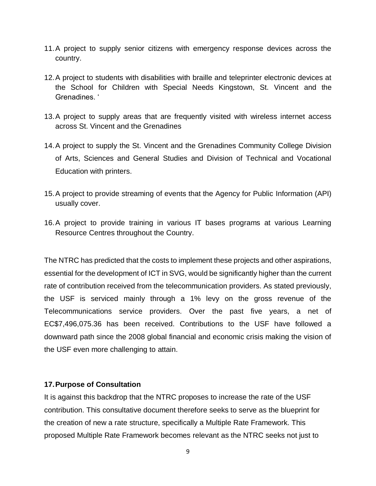- 11.A project to supply senior citizens with emergency response devices across the country.
- 12.A project to students with disabilities with braille and teleprinter electronic devices at the School for Children with Special Needs Kingstown, St. Vincent and the Grenadines. '
- 13.A project to supply areas that are frequently visited with wireless internet access across St. Vincent and the Grenadines
- 14.A project to supply the St. Vincent and the Grenadines Community College Division of Arts, Sciences and General Studies and Division of Technical and Vocational Education with printers.
- 15.A project to provide streaming of events that the Agency for Public Information (API) usually cover.
- 16.A project to provide training in various IT bases programs at various Learning Resource Centres throughout the Country.

The NTRC has predicted that the costs to implement these projects and other aspirations, essential for the development of ICT in SVG, would be significantly higher than the current rate of contribution received from the telecommunication providers. As stated previously, the USF is serviced mainly through a 1% levy on the gross revenue of the Telecommunications service providers. Over the past five years, a net of EC\$7,496,075.36 has been received. Contributions to the USF have followed a downward path since the 2008 global financial and economic crisis making the vision of the USF even more challenging to attain.

#### **17.Purpose of Consultation**

It is against this backdrop that the NTRC proposes to increase the rate of the USF contribution. This consultative document therefore seeks to serve as the blueprint for the creation of new a rate structure, specifically a Multiple Rate Framework. This proposed Multiple Rate Framework becomes relevant as the NTRC seeks not just to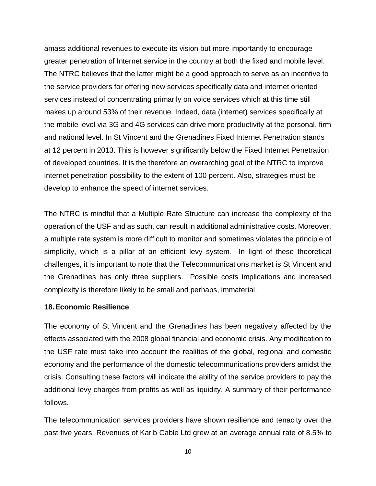amass additional revenues to execute its vision but more importantly to encourage greater penetration of Internet service in the country at both the fixed and mobile level. The NTRC believes that the latter might be a good approach to serve as an incentive to the service providers for offering new services specifically data and internet oriented services instead of concentrating primarily on voice services which at this time still makes up around 53% of their revenue. Indeed, data (internet) services specifically at the mobile level via 3G and 4G services can drive more productivity at the personal, firm and national level. In St Vincent and the Grenadines Fixed Internet Penetration stands at 12 percent in 2013. This is however significantly below the Fixed Internet Penetration of developed countries. It is the therefore an overarching goal of the NTRC to improve internet penetration possibility to the extent of 100 percent. Also, strategies must be develop to enhance the speed of internet services.

The NTRC is mindful that a Multiple Rate Structure can increase the complexity of the operation of the USF and as such, can result in additional administrative costs. Moreover, a multiple rate system is more difficult to monitor and sometimes violates the principle of simplicity, which is a pillar of an efficient levy system. In light of these theoretical challenges, it is important to note that the Telecommunications market is St Vincent and the Grenadines has only three suppliers. Possible costs implications and increased complexity is therefore likely to be small and perhaps, immaterial.

#### **18.Economic Resilience**

The economy of St Vincent and the Grenadines has been negatively affected by the effects associated with the 2008 global financial and economic crisis. Any modification to the USF rate must take into account the realities of the global, regional and domestic economy and the performance of the domestic telecommunications providers amidst the crisis. Consulting these factors will indicate the ability of the service providers to pay the additional levy charges from profits as well as liquidity. A summary of their performance follows.

The telecommunication services providers have shown resilience and tenacity over the past five years. Revenues of Karib Cable Ltd grew at an average annual rate of 8.5% to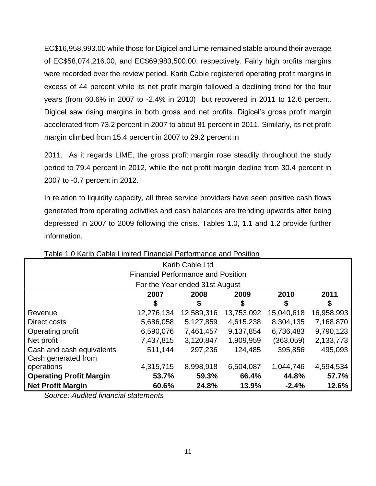EC\$16,958,993.00 while those for Digicel and Lime remained stable around their average of EC\$58,074,216.00, and EC\$69,983,500.00, respectively. Fairly high profits margins were recorded over the review period. Karib Cable registered operating profit margins in excess of 44 percent while its net profit margin followed a declining trend for the four years (from 60.6% in 2007 to -2.4% in 2010) but recovered in 2011 to 12.6 percent. Digicel saw rising margins in both gross and net profits. Digicel's gross profit margin accelerated from 73.2 percent in 2007 to about 81 percent in 2011. Similarly, its net profit margin climbed from 15.4 percent in 2007 to 29.2 percent in

2011. As it regards LIME, the gross profit margin rose steadily throughout the study period to 79.4 percent in 2012, while the net profit margin decline from 30.4 percent in 2007 to -0.7 percent in 2012.

In relation to liquidity capacity, all three service providers have seen positive cash flows generated from operating activities and cash balances are trending upwards after being depressed in 2007 to 2009 following the crisis. Tables 1.0, 1.1 and 1.2 provide further information.

| Karib Cable Ltd                           |                                           |            |            |            |            |  |  |  |  |
|-------------------------------------------|-------------------------------------------|------------|------------|------------|------------|--|--|--|--|
| <b>Financial Performance and Position</b> |                                           |            |            |            |            |  |  |  |  |
|                                           | For the Year ended 31st August            |            |            |            |            |  |  |  |  |
|                                           | 2007                                      | 2008       | 2009       | 2010       | 2011       |  |  |  |  |
|                                           | \$                                        | \$         | \$         | \$         | \$         |  |  |  |  |
| Revenue                                   | 12,276,134                                | 12,589,316 | 13,753,092 | 15,040,618 | 16,958,993 |  |  |  |  |
| Direct costs                              | 5,686,058                                 | 5,127,859  | 4,615,238  | 8,304,135  | 7,168,870  |  |  |  |  |
| Operating profit                          | 6,590,076                                 | 7,461,457  | 9,137,854  | 6,736,483  | 9,790,123  |  |  |  |  |
| Net profit                                | 7,437,815                                 | 3,120,847  | 1,909,959  | (363,059)  | 2,133,773  |  |  |  |  |
| Cash and cash equivalents                 | 511,144                                   | 297,236    | 124,485    | 395,856    | 495,093    |  |  |  |  |
| Cash generated from                       |                                           |            |            |            |            |  |  |  |  |
| operations                                | 4,315,715                                 | 8,998,918  | 6,504,087  | 1,044,746  | 4,594,534  |  |  |  |  |
| <b>Operating Profit Margin</b>            | 59.3%<br>44.8%<br>57.7%<br>53.7%<br>66.4% |            |            |            |            |  |  |  |  |
| <b>Net Profit Margin</b>                  | 60.6%                                     | 24.8%      | 13.9%      | $-2.4%$    | 12.6%      |  |  |  |  |

Table 1.0 Karib Cable Limited Financial Performance and Position

*Source: Audited financial statements*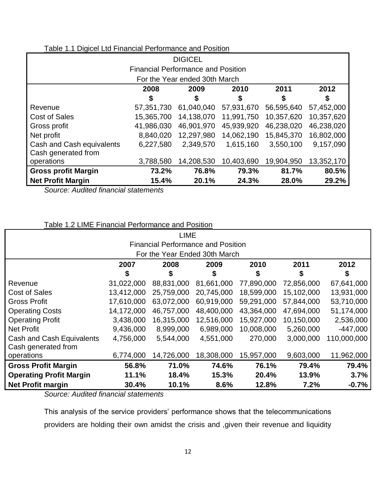| Table 1.1 Digicel Ltd Financial Performance and Position |
|----------------------------------------------------------|
|----------------------------------------------------------|

| <b>DIGICEL</b>                            |            |                               |            |            |            |  |  |  |
|-------------------------------------------|------------|-------------------------------|------------|------------|------------|--|--|--|
| <b>Financial Performance and Position</b> |            |                               |            |            |            |  |  |  |
|                                           |            | For the Year ended 30th March |            |            |            |  |  |  |
|                                           | 2008       | 2009                          | 2010       | 2011       | 2012       |  |  |  |
|                                           | \$         | \$                            | \$         | \$         | \$         |  |  |  |
| Revenue                                   | 57,351,730 | 61,040,040                    | 57,931,670 | 56,595,640 | 57,452,000 |  |  |  |
| Cost of Sales                             | 15,365,700 | 14,138,070                    | 11,991,750 | 10,357,620 | 10,357,620 |  |  |  |
| Gross profit                              | 41,986,030 | 46,901,970                    | 45,939,920 | 46,238,020 | 46,238,020 |  |  |  |
| Net profit                                | 8,840,020  | 12,297,980                    | 14,062,190 | 15,845,370 | 16,802,000 |  |  |  |
| Cash and Cash equivalents                 | 6,227,580  | 2,349,570                     | 1,615,160  | 3,550,100  | 9,157,090  |  |  |  |
| Cash generated from                       |            |                               |            |            |            |  |  |  |
| operations                                | 3,788,580  | 14,208,530                    | 10,403,690 | 19,904,950 | 13,352,170 |  |  |  |
| <b>Gross profit Margin</b>                | 73.2%      | 76.8%                         | 79.3%      | 81.7%      | 80.5%      |  |  |  |
| <b>Net Profit Margin</b>                  | 15.4%      | 20.1%                         | 24.3%      | 28.0%      | 29.2%      |  |  |  |

*Source: Audited financial statements*

| <b>LIME</b>                               |            |            |                               |            |            |             |  |  |
|-------------------------------------------|------------|------------|-------------------------------|------------|------------|-------------|--|--|
| <b>Financial Performance and Position</b> |            |            |                               |            |            |             |  |  |
|                                           |            |            | For the Year Ended 30th March |            |            |             |  |  |
|                                           | 2007       | 2008       | 2009                          | 2010       | 2011       | 2012        |  |  |
|                                           | \$         | \$         | \$                            | \$         | \$         | S           |  |  |
| Revenue                                   | 31,022,000 | 88,831,000 | 81,661,000                    | 77,890,000 | 72,856,000 | 67,641,000  |  |  |
| <b>Cost of Sales</b>                      | 13,412,000 | 25,759,000 | 20,745,000                    | 18,599,000 | 15,102,000 | 13,931,000  |  |  |
| <b>Gross Profit</b>                       | 17,610,000 | 63,072,000 | 60,919,000                    | 59,291,000 | 57,844,000 | 53,710,000  |  |  |
| <b>Operating Costs</b>                    | 14,172,000 | 46,757,000 | 48,400,000                    | 43,364,000 | 47,694,000 | 51,174,000  |  |  |
| <b>Operating Profit</b>                   | 3,438,000  | 16,315,000 | 12,516,000                    | 15,927,000 | 10,150,000 | 2,536,000   |  |  |
| <b>Net Profit</b>                         | 9,436,000  | 8,999,000  | 6,989,000                     | 10,008,000 | 5,260,000  | $-447,000$  |  |  |
| Cash and Cash Equivalents                 | 4,756,000  | 5,544,000  | 4,551,000                     | 270,000    | 3,000,000  | 110,000,000 |  |  |
| Cash generated from                       |            |            |                               |            |            |             |  |  |
| operations                                | 6,774,000  | 14,726,000 | 18,308,000                    | 15,957,000 | 9,603,000  | 11,962,000  |  |  |
| <b>Gross Profit Margin</b>                | 56.8%      | 71.0%      | 74.6%                         | 76.1%      | 79.4%      | 79.4%       |  |  |
| <b>Operating Profit Margin</b>            | 11.1%      | 18.4%      | 15.3%                         | 20.4%      | 13.9%      | 3.7%        |  |  |
| <b>Net Profit margin</b>                  | 30.4%      | 10.1%      | 8.6%                          | 12.8%      | 7.2%       | $-0.7%$     |  |  |

*Source: Audited financial statements*

This analysis of the service providers' performance shows that the telecommunications providers are holding their own amidst the crisis and ,given their revenue and liquidity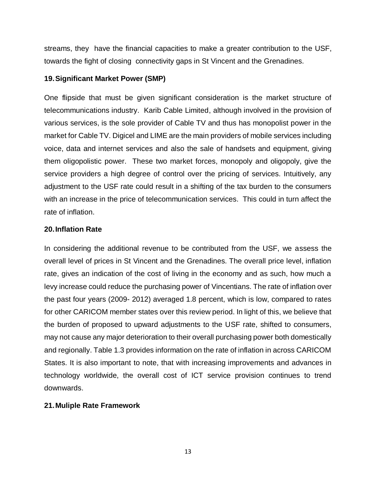streams, they have the financial capacities to make a greater contribution to the USF, towards the fight of closing connectivity gaps in St Vincent and the Grenadines.

#### **19.Significant Market Power (SMP)**

One flipside that must be given significant consideration is the market structure of telecommunications industry. Karib Cable Limited, although involved in the provision of various services, is the sole provider of Cable TV and thus has monopolist power in the market for Cable TV. Digicel and LIME are the main providers of mobile services including voice, data and internet services and also the sale of handsets and equipment, giving them oligopolistic power. These two market forces, monopoly and oligopoly, give the service providers a high degree of control over the pricing of services. Intuitively, any adjustment to the USF rate could result in a shifting of the tax burden to the consumers with an increase in the price of telecommunication services. This could in turn affect the rate of inflation.

#### **20.Inflation Rate**

In considering the additional revenue to be contributed from the USF, we assess the overall level of prices in St Vincent and the Grenadines. The overall price level, inflation rate, gives an indication of the cost of living in the economy and as such, how much a levy increase could reduce the purchasing power of Vincentians. The rate of inflation over the past four years (2009- 2012) averaged 1.8 percent, which is low, compared to rates for other CARICOM member states over this review period. In light of this, we believe that the burden of proposed to upward adjustments to the USF rate, shifted to consumers, may not cause any major deterioration to their overall purchasing power both domestically and regionally. Table 1.3 provides information on the rate of inflation in across CARICOM States. It is also important to note, that with increasing improvements and advances in technology worldwide, the overall cost of ICT service provision continues to trend downwards.

#### **21.Muliple Rate Framework**

13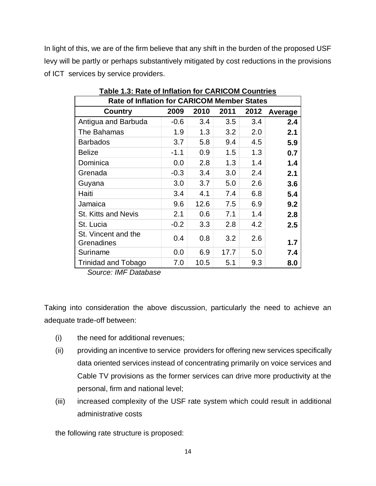In light of this, we are of the firm believe that any shift in the burden of the proposed USF levy will be partly or perhaps substantively mitigated by cost reductions in the provisions of ICT services by service providers.

| <b>Rate of Inflation for CARICOM Member States</b> |        |      |      |      |         |  |  |  |
|----------------------------------------------------|--------|------|------|------|---------|--|--|--|
| Country                                            | 2009   | 2010 | 2011 | 2012 | Average |  |  |  |
| Antigua and Barbuda                                | $-0.6$ | 3.4  | 3.5  | 3.4  | 2.4     |  |  |  |
| The Bahamas                                        | 1.9    | 1.3  | 3.2  | 2.0  | 2.1     |  |  |  |
| <b>Barbados</b>                                    | 3.7    | 5.8  | 9.4  | 4.5  | 5.9     |  |  |  |
| <b>Belize</b>                                      | $-1.1$ | 0.9  | 1.5  | 1.3  | 0.7     |  |  |  |
| Dominica                                           | 0.0    | 2.8  | 1.3  | 1.4  | 1.4     |  |  |  |
| Grenada                                            | $-0.3$ | 3.4  | 3.0  | 2.4  | 2.1     |  |  |  |
| Guyana                                             | 3.0    | 3.7  | 5.0  | 2.6  | 3.6     |  |  |  |
| Haiti                                              | 3.4    | 4.1  | 7.4  | 6.8  | 5.4     |  |  |  |
| Jamaica                                            | 9.6    | 12.6 | 7.5  | 6.9  | 9.2     |  |  |  |
| <b>St. Kitts and Nevis</b>                         | 2.1    | 0.6  | 7.1  | 1.4  | 2.8     |  |  |  |
| St. Lucia                                          | $-0.2$ | 3.3  | 2.8  | 4.2  | 2.5     |  |  |  |
| St. Vincent and the<br>Grenadines                  | 0.4    | 0.8  | 3.2  | 2.6  | 1.7     |  |  |  |
| Suriname                                           | 0.0    | 6.9  | 17.7 | 5.0  | 7.4     |  |  |  |
| <b>Trinidad and Tobago</b>                         | 7.0    | 10.5 | 5.1  | 9.3  | 8.0     |  |  |  |

**Table 1.3: Rate of Inflation for CARICOM Countries**

 *Source: IMF Database* 

Taking into consideration the above discussion, particularly the need to achieve an adequate trade-off between:

- (i) the need for additional revenues;
- (ii) providing an incentive to service providers for offering new services specifically data oriented services instead of concentrating primarily on voice services and Cable TV provisions as the former services can drive more productivity at the personal, firm and national level;
- (iii) increased complexity of the USF rate system which could result in additional administrative costs

the following rate structure is proposed: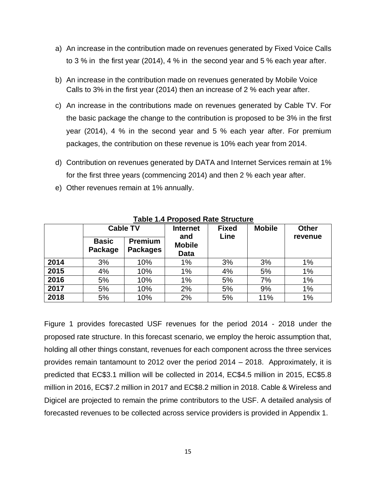- a) An increase in the contribution made on revenues generated by Fixed Voice Calls to 3 % in the first year (2014), 4 % in the second year and 5 % each year after.
- b) An increase in the contribution made on revenues generated by Mobile Voice Calls to 3% in the first year (2014) then an increase of 2 % each year after.
- c) An increase in the contributions made on revenues generated by Cable TV. For the basic package the change to the contribution is proposed to be 3% in the first year (2014), 4 % in the second year and 5 % each year after. For premium packages, the contribution on these revenue is 10% each year from 2014.
- d) Contribution on revenues generated by DATA and Internet Services remain at 1% for the first three years (commencing 2014) and then 2 % each year after.
- e) Other revenues remain at 1% annually.

|      | <b>Basic</b><br>Package | <b>Cable TV</b><br><b>Premium</b><br><b>Packages</b> | <b>Internet</b><br>and<br><b>Mobile</b><br><b>Data</b> | <b>Fixed</b><br>Line | <b>Mobile</b> | <b>Other</b><br>revenue |
|------|-------------------------|------------------------------------------------------|--------------------------------------------------------|----------------------|---------------|-------------------------|
| 2014 | 3%                      | 10%                                                  | 1%                                                     | 3%                   | 3%            | $1\%$                   |
| 2015 | 4%                      | 10%                                                  | 1%                                                     | 4%                   | 5%            | 1%                      |
| 2016 | 5%                      | 10%                                                  | 1%                                                     | 5%                   | 7%            | 1%                      |
| 2017 | 5%                      | 10%                                                  | 2%                                                     | 5%                   | 9%            | 1%                      |
| 2018 | 5%                      | 10%                                                  | 2%                                                     | 5%                   | 11%           | 1%                      |

**Table 1.4 Proposed Rate Structure**

Figure 1 provides forecasted USF revenues for the period 2014 - 2018 under the proposed rate structure. In this forecast scenario, we employ the heroic assumption that, holding all other things constant, revenues for each component across the three services provides remain tantamount to 2012 over the period 2014 – 2018. Approximately, it is predicted that EC\$3.1 million will be collected in 2014, EC\$4.5 million in 2015, EC\$5.8 million in 2016, EC\$7.2 million in 2017 and EC\$8.2 million in 2018. Cable & Wireless and Digicel are projected to remain the prime contributors to the USF. A detailed analysis of forecasted revenues to be collected across service providers is provided in Appendix 1.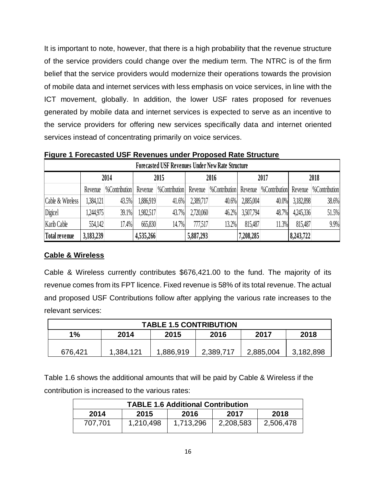It is important to note, however, that there is a high probability that the revenue structure of the service providers could change over the medium term. The NTRC is of the firm belief that the service providers would modernize their operations towards the provision of mobile data and internet services with less emphasis on voice services, in line with the ICT movement, globally. In addition, the lower USF rates proposed for revenues generated by mobile data and internet services is expected to serve as an incentive to the service providers for offering new services specifically data and internet oriented services instead of concentrating primarily on voice services.

**Figure 1 Forecasted USF Revenues under Proposed Rate Structure**

| <b>Forecasted USF Revenues Under New Rate Structure</b> |           |                      |           |                      |           |                      |           |                              |           |                      |
|---------------------------------------------------------|-----------|----------------------|-----------|----------------------|-----------|----------------------|-----------|------------------------------|-----------|----------------------|
|                                                         | 2014      |                      | 2015      |                      | 2016      |                      | 2017      |                              | 2018      |                      |
|                                                         | Revenue   | <b>%Contribution</b> | Revenue   | <b>%Contribution</b> | Revenue   | <b>%Contribution</b> | Revenue   | <b>%Contribution</b> Revenue |           | <b>%Contribution</b> |
| Cable & Wireless                                        | 1,384,121 | 43.5%                | 1,886,919 | 41.6%                | 2,389,717 | 40.6%                | 2,885,004 | 40.0%                        | 3,182,898 | 38.6%                |
| Digicel                                                 | 1,244,975 | 39.1%                | 1,982,517 | 43.7%                | 2,720,060 | 46.2%                | 3,507,794 | 48.7%                        | 4,245,336 | 51.5%                |
| Karib Cable                                             | 554,142   | 17.4%                | 665,830   | 14.7%                | 777,517   | 13.2%                | 815,487   | 11.3%                        | 815,487   | 9.9%                 |
| <b>Total revenue</b>                                    | 3,183,239 |                      | 4,535,266 |                      | 5,887,293 |                      | 7,208,285 |                              | 8,243,722 |                      |

### **Cable & Wireless**

Cable & Wireless currently contributes \$676,421.00 to the fund. The majority of its revenue comes from its FPT licence. Fixed revenue is 58% of its total revenue. The actual and proposed USF Contributions follow after applying the various rate increases to the relevant services:

| <b>TABLE 1.5 CONTRIBUTION</b>              |           |           |           |           |           |  |  |
|--------------------------------------------|-----------|-----------|-----------|-----------|-----------|--|--|
| 1%<br>2017<br>2014<br>2018<br>2016<br>2015 |           |           |           |           |           |  |  |
|                                            |           |           |           |           |           |  |  |
| 676,421                                    | 1,384,121 | 1,886,919 | 2,389,717 | 2,885,004 | 3,182,898 |  |  |

Table 1.6 shows the additional amounts that will be paid by Cable & Wireless if the contribution is increased to the various rates:

| <b>TABLE 1.6 Additional Contribution</b> |           |           |           |           |  |  |  |
|------------------------------------------|-----------|-----------|-----------|-----------|--|--|--|
| 2014                                     | 2015      | 2016      | 2017      | 2018      |  |  |  |
| 707,701                                  | 1,210,498 | 1,713,296 | 2,208,583 | 2,506,478 |  |  |  |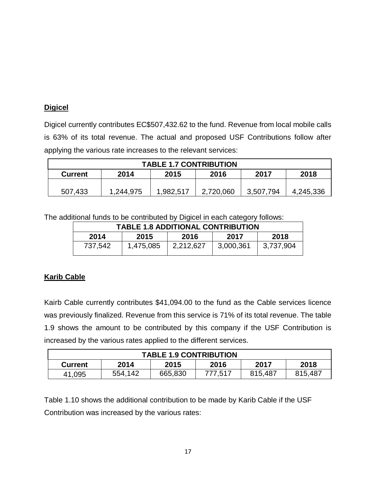## **Digicel**

Digicel currently contributes EC\$507,432.62 to the fund. Revenue from local mobile calls is 63% of its total revenue. The actual and proposed USF Contributions follow after applying the various rate increases to the relevant services:

| <b>TABLE 1.7 CONTRIBUTION</b>                          |           |           |           |           |           |  |  |
|--------------------------------------------------------|-----------|-----------|-----------|-----------|-----------|--|--|
| 2017<br>2018<br>2016<br>2014<br>2015<br><b>Current</b> |           |           |           |           |           |  |  |
|                                                        |           |           |           |           |           |  |  |
| 507,433                                                | 1,244,975 | 1,982,517 | 2,720,060 | 3,507,794 | 4,245,336 |  |  |

The additional funds to be contributed by Digicel in each category follows:

| <b>TABLE 1.8 ADDITIONAL CONTRIBUTION</b> |           |           |           |           |  |  |  |
|------------------------------------------|-----------|-----------|-----------|-----------|--|--|--|
| 2014                                     | 2015      | 2016      | 2017      | 2018      |  |  |  |
| 737,542                                  | 1,475,085 | 2,212,627 | 3,000,361 | 3,737,904 |  |  |  |

## **Karib Cable**

Kairb Cable currently contributes \$41,094.00 to the fund as the Cable services licence was previously finalized. Revenue from this service is 71% of its total revenue. The table 1.9 shows the amount to be contributed by this company if the USF Contribution is increased by the various rates applied to the different services.

| <b>TABLE 1.9 CONTRIBUTION</b> |         |         |         |         |         |  |  |
|-------------------------------|---------|---------|---------|---------|---------|--|--|
| <b>Current</b>                | 2014    | 2015    | 2016    | 2017    | 2018    |  |  |
| 41,095                        | 554,142 | 665,830 | 777,517 | 815,487 | 815,487 |  |  |

Table 1.10 shows the additional contribution to be made by Karib Cable if the USF Contribution was increased by the various rates: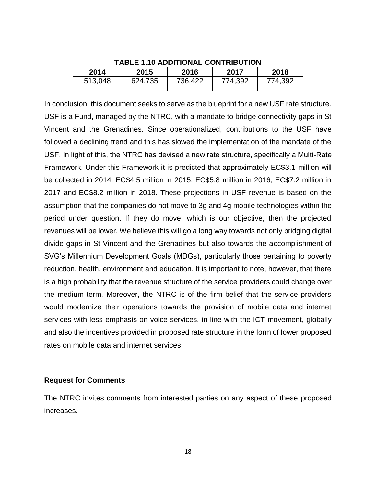| <b>TABLE 1.10 ADDITIONAL CONTRIBUTION</b> |         |         |         |         |  |  |  |
|-------------------------------------------|---------|---------|---------|---------|--|--|--|
| 2014                                      | 2015    | 2016    | 2017    | 2018    |  |  |  |
| 513,048                                   | 624,735 | 736,422 | 774,392 | 774,392 |  |  |  |

In conclusion, this document seeks to serve as the blueprint for a new USF rate structure. USF is a Fund, managed by the NTRC, with a mandate to bridge connectivity gaps in St Vincent and the Grenadines. Since operationalized, contributions to the USF have followed a declining trend and this has slowed the implementation of the mandate of the USF. In light of this, the NTRC has devised a new rate structure, specifically a Multi-Rate Framework. Under this Framework it is predicted that approximately EC\$3.1 million will be collected in 2014, EC\$4.5 million in 2015, EC\$5.8 million in 2016, EC\$7.2 million in 2017 and EC\$8.2 million in 2018. These projections in USF revenue is based on the assumption that the companies do not move to 3g and 4g mobile technologies within the period under question. If they do move, which is our objective, then the projected revenues will be lower. We believe this will go a long way towards not only bridging digital divide gaps in St Vincent and the Grenadines but also towards the accomplishment of SVG's Millennium Development Goals (MDGs), particularly those pertaining to poverty reduction, health, environment and education. It is important to note, however, that there is a high probability that the revenue structure of the service providers could change over the medium term. Moreover, the NTRC is of the firm belief that the service providers would modernize their operations towards the provision of mobile data and internet services with less emphasis on voice services, in line with the ICT movement, globally and also the incentives provided in proposed rate structure in the form of lower proposed rates on mobile data and internet services.

#### **Request for Comments**

The NTRC invites comments from interested parties on any aspect of these proposed increases.